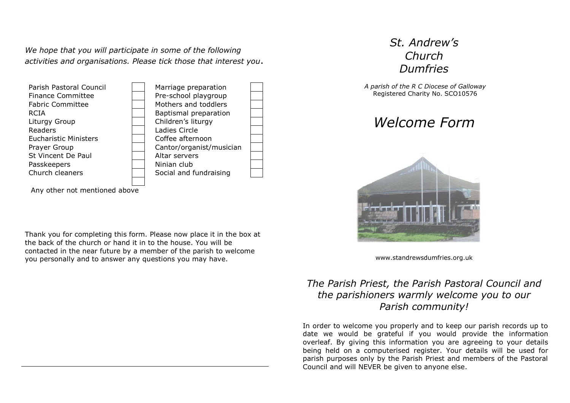*We hope that you will participate in some of the following activities and organisations. Please tick those that interest you*.



Any other not mentioned above

Thank you for completing this form. Please now place it in the box at the back of the church or hand it in to the house. You will be contacted in the near future by a member of the parish to welcome you personally and to answer any questions you may have.

## *St. Andrew's Church Dumfries*

*A parish of the R C Diocese of Galloway* Registered Charity No. SCO10576

*Welcome Form*



www.standrewsdumfries.org.uk

## *The Parish Priest, the Parish Pastoral Council and the parishioners warmly welcome you to our Parish community!*

In order to welcome you properly and to keep our parish records up to date we would be grateful if you would provide the information overleaf. By giving this information you are agreeing to your details being held on a computerised register. Your details will be used for parish purposes only by the Parish Priest and members of the Pastoral Council and will NEVER be given to anyone else.